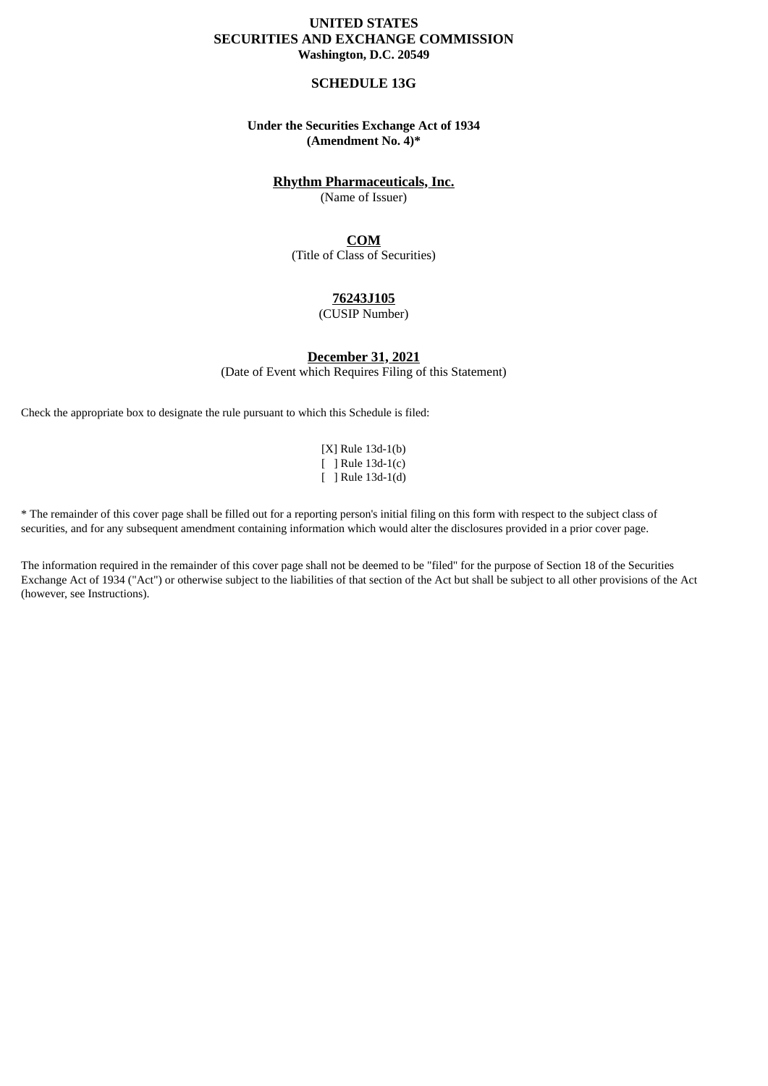# **UNITED STATES SECURITIES AND EXCHANGE COMMISSION Washington, D.C. 20549**

### **SCHEDULE 13G**

# **Under the Securities Exchange Act of 1934 (Amendment No. 4)\***

# **Rhythm Pharmaceuticals, Inc.**

(Name of Issuer)

# **COM**

(Title of Class of Securities)

### **76243J105**

(CUSIP Number)

**December 31, 2021**

(Date of Event which Requires Filing of this Statement)

Check the appropriate box to designate the rule pursuant to which this Schedule is filed:

[X] Rule 13d-1(b) [ ] Rule 13d-1(c) [ ] Rule 13d-1(d)

\* The remainder of this cover page shall be filled out for a reporting person's initial filing on this form with respect to the subject class of securities, and for any subsequent amendment containing information which would alter the disclosures provided in a prior cover page.

The information required in the remainder of this cover page shall not be deemed to be "filed" for the purpose of Section 18 of the Securities Exchange Act of 1934 ("Act") or otherwise subject to the liabilities of that section of the Act but shall be subject to all other provisions of the Act (however, see Instructions).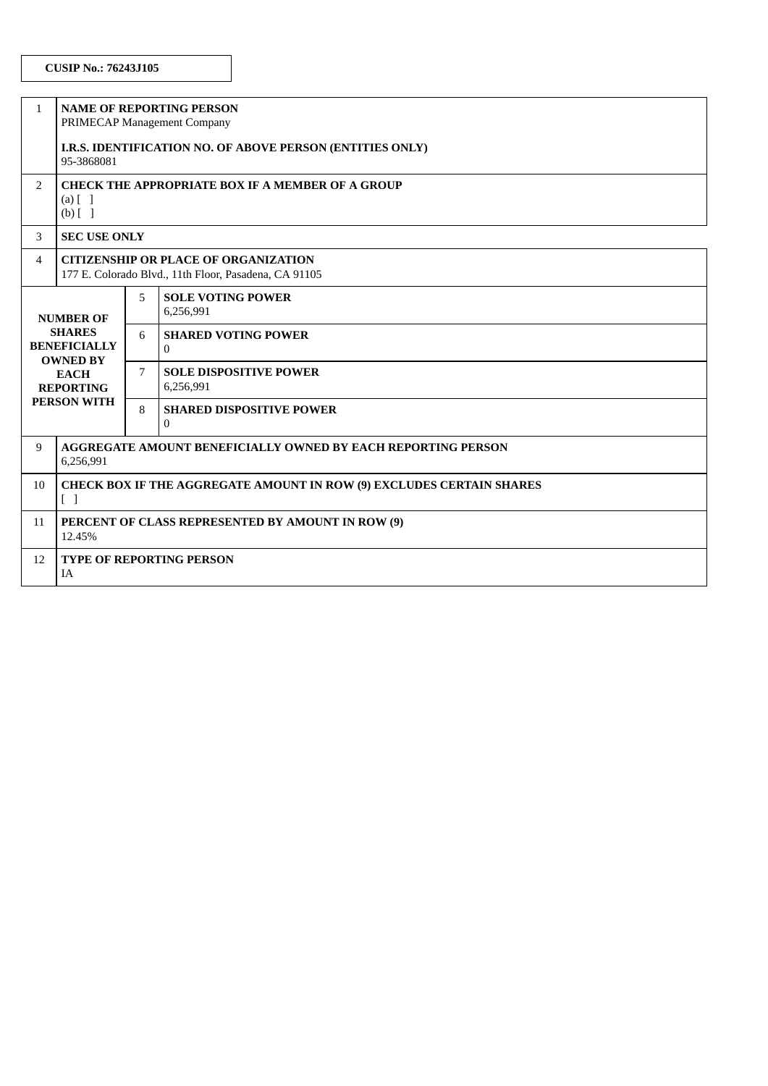| $\mathbf{1}$                                                                                                                         | <b>NAME OF REPORTING PERSON</b><br>PRIMECAP Management Company                                       |   |                                                   |  |  |  |  |
|--------------------------------------------------------------------------------------------------------------------------------------|------------------------------------------------------------------------------------------------------|---|---------------------------------------------------|--|--|--|--|
|                                                                                                                                      | I.R.S. IDENTIFICATION NO. OF ABOVE PERSON (ENTITIES ONLY)<br>95-3868081                              |   |                                                   |  |  |  |  |
| $\overline{2}$                                                                                                                       | <b>CHECK THE APPROPRIATE BOX IF A MEMBER OF A GROUP</b><br>$(a)$ $[$ $]$<br>$(b)$ []                 |   |                                                   |  |  |  |  |
| 3                                                                                                                                    | <b>SEC USE ONLY</b>                                                                                  |   |                                                   |  |  |  |  |
| 4                                                                                                                                    | <b>CITIZENSHIP OR PLACE OF ORGANIZATION</b><br>177 E. Colorado Blvd., 11th Floor, Pasadena, CA 91105 |   |                                                   |  |  |  |  |
| <b>NUMBER OF</b><br><b>SHARES</b><br><b>BENEFICIALLY</b><br><b>OWNED BY</b><br><b>EACH</b><br><b>REPORTING</b><br><b>PERSON WITH</b> |                                                                                                      | 5 | <b>SOLE VOTING POWER</b><br>6,256,991             |  |  |  |  |
|                                                                                                                                      |                                                                                                      | 6 | <b>SHARED VOTING POWER</b><br>$\overline{0}$      |  |  |  |  |
|                                                                                                                                      |                                                                                                      | 7 | <b>SOLE DISPOSITIVE POWER</b><br>6,256,991        |  |  |  |  |
|                                                                                                                                      |                                                                                                      | 8 | <b>SHARED DISPOSITIVE POWER</b><br>$\overline{0}$ |  |  |  |  |
| 9                                                                                                                                    | <b>AGGREGATE AMOUNT BENEFICIALLY OWNED BY EACH REPORTING PERSON</b><br>6,256,991                     |   |                                                   |  |  |  |  |
| 10                                                                                                                                   | <b>CHECK BOX IF THE AGGREGATE AMOUNT IN ROW (9) EXCLUDES CERTAIN SHARES</b><br>$\Box$                |   |                                                   |  |  |  |  |
| 11                                                                                                                                   | PERCENT OF CLASS REPRESENTED BY AMOUNT IN ROW (9)<br>12.45%                                          |   |                                                   |  |  |  |  |
| 12                                                                                                                                   | <b>TYPE OF REPORTING PERSON</b><br>IA                                                                |   |                                                   |  |  |  |  |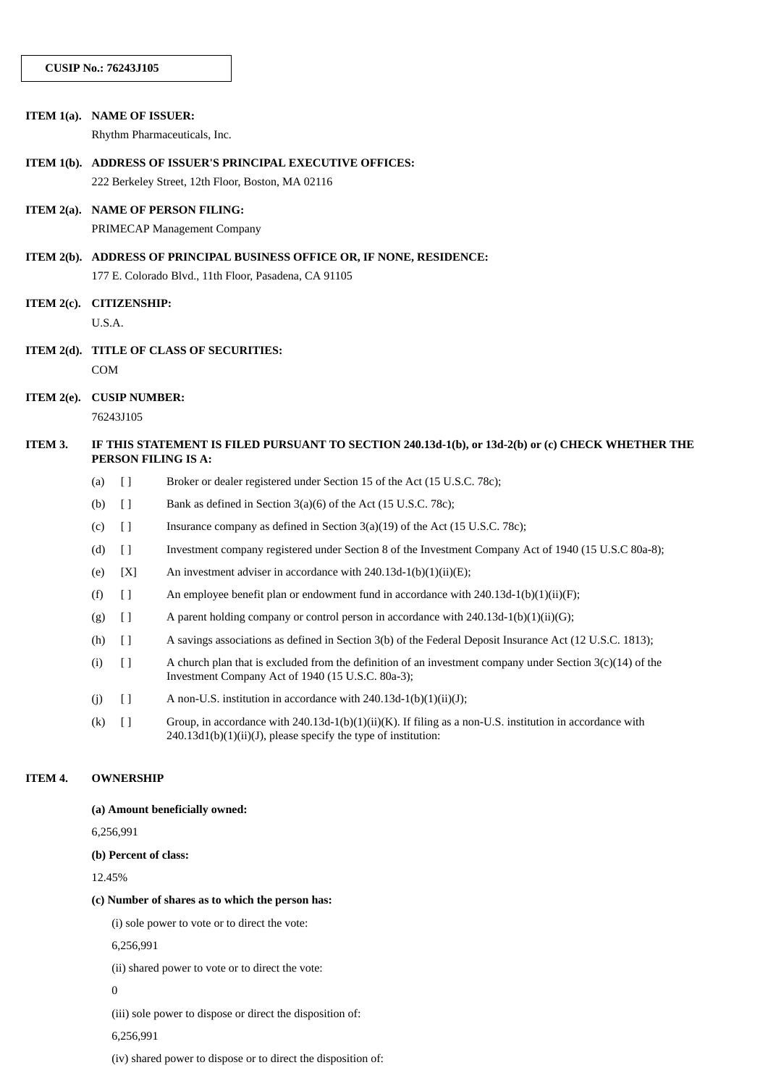|               | ITEM 1(a). NAME OF ISSUER:                                                                                               |                                                                         |                                                                                                                                                                               |  |  |  |
|---------------|--------------------------------------------------------------------------------------------------------------------------|-------------------------------------------------------------------------|-------------------------------------------------------------------------------------------------------------------------------------------------------------------------------|--|--|--|
|               | Rhythm Pharmaceuticals, Inc.                                                                                             |                                                                         |                                                                                                                                                                               |  |  |  |
| ITEM $1(b)$ . | ADDRESS OF ISSUER'S PRINCIPAL EXECUTIVE OFFICES:                                                                         |                                                                         |                                                                                                                                                                               |  |  |  |
|               | 222 Berkeley Street, 12th Floor, Boston, MA 02116                                                                        |                                                                         |                                                                                                                                                                               |  |  |  |
| ITEM $2(a)$ . | <b>NAME OF PERSON FILING:</b>                                                                                            |                                                                         |                                                                                                                                                                               |  |  |  |
|               | PRIMECAP Management Company                                                                                              |                                                                         |                                                                                                                                                                               |  |  |  |
|               |                                                                                                                          | ITEM 2(b). ADDRESS OF PRINCIPAL BUSINESS OFFICE OR, IF NONE, RESIDENCE: |                                                                                                                                                                               |  |  |  |
|               | 177 E. Colorado Blvd., 11th Floor, Pasadena, CA 91105                                                                    |                                                                         |                                                                                                                                                                               |  |  |  |
|               | ITEM 2(c). CITIZENSHIP:                                                                                                  |                                                                         |                                                                                                                                                                               |  |  |  |
|               | U.S.A.                                                                                                                   |                                                                         |                                                                                                                                                                               |  |  |  |
|               | ITEM 2(d). TITLE OF CLASS OF SECURITIES:                                                                                 |                                                                         |                                                                                                                                                                               |  |  |  |
|               | <b>COM</b>                                                                                                               |                                                                         |                                                                                                                                                                               |  |  |  |
| ITEM $2(e)$ . | <b>CUSIP NUMBER:</b>                                                                                                     |                                                                         |                                                                                                                                                                               |  |  |  |
|               | 76243J105                                                                                                                |                                                                         |                                                                                                                                                                               |  |  |  |
| ITEM 3.       | IF THIS STATEMENT IS FILED PURSUANT TO SECTION 240.13d-1(b), or 13d-2(b) or (c) CHECK WHETHER THE<br>PERSON FILING IS A: |                                                                         |                                                                                                                                                                               |  |  |  |
|               | (a)                                                                                                                      | $[ \ ]$                                                                 | Broker or dealer registered under Section 15 of the Act (15 U.S.C. 78c);                                                                                                      |  |  |  |
|               | (b)                                                                                                                      | $\Box$                                                                  | Bank as defined in Section 3(a)(6) of the Act (15 U.S.C. 78c);                                                                                                                |  |  |  |
|               | (c)                                                                                                                      | $[ \ ]$                                                                 | Insurance company as defined in Section $3(a)(19)$ of the Act $(15 \text{ U.S.C. } 78c)$ ;                                                                                    |  |  |  |
|               | (d)                                                                                                                      | $[ \ ]$                                                                 | Investment company registered under Section 8 of the Investment Company Act of 1940 (15 U.S.C 80a-8);                                                                         |  |  |  |
|               | (e)                                                                                                                      | [X]                                                                     | An investment adviser in accordance with $240.13d-1(b)(1)(ii)(E)$ ;                                                                                                           |  |  |  |
|               | (f)                                                                                                                      | $[ \ ]$                                                                 | An employee benefit plan or endowment fund in accordance with 240.13d-1(b)(1)(ii)(F);                                                                                         |  |  |  |
|               | (g)                                                                                                                      | $[ \ ]$                                                                 | A parent holding company or control person in accordance with $240.13d-1(b)(1)(ii)(G)$ ;                                                                                      |  |  |  |
|               | (h)                                                                                                                      | $[ \ ]$                                                                 | A savings associations as defined in Section 3(b) of the Federal Deposit Insurance Act (12 U.S.C. 1813);                                                                      |  |  |  |
|               | (i)                                                                                                                      | $[ \ ]$                                                                 | A church plan that is excluded from the definition of an investment company under Section $3(c)(14)$ of the<br>Investment Company Act of 1940 (15 U.S.C. 80a-3);              |  |  |  |
|               | (j)                                                                                                                      | $\left[ \ \right]$                                                      | A non-U.S. institution in accordance with 240.13d-1(b)(1)(ii)(J);                                                                                                             |  |  |  |
|               | (k)                                                                                                                      | $\left[ \ \right]$                                                      | Group, in accordance with 240.13d-1(b)(1)(ii)(K). If filing as a non-U.S. institution in accordance with<br>$240.13d1(b)(1)(ii)(J)$ , please specify the type of institution: |  |  |  |
| ITEM 4.       |                                                                                                                          | <b>OWNERSHIP</b>                                                        |                                                                                                                                                                               |  |  |  |

|  | (a) Amount beneficially owned: |  |
|--|--------------------------------|--|
|  |                                |  |

6,256,991

**(b) Percent of class:**

12.45%

### **(c) Number of shares as to which the person has:**

(i) sole power to vote or to direct the vote:

6,256,991

(ii) shared power to vote or to direct the vote:

0

(iii) sole power to dispose or direct the disposition of:

6,256,991

(iv) shared power to dispose or to direct the disposition of: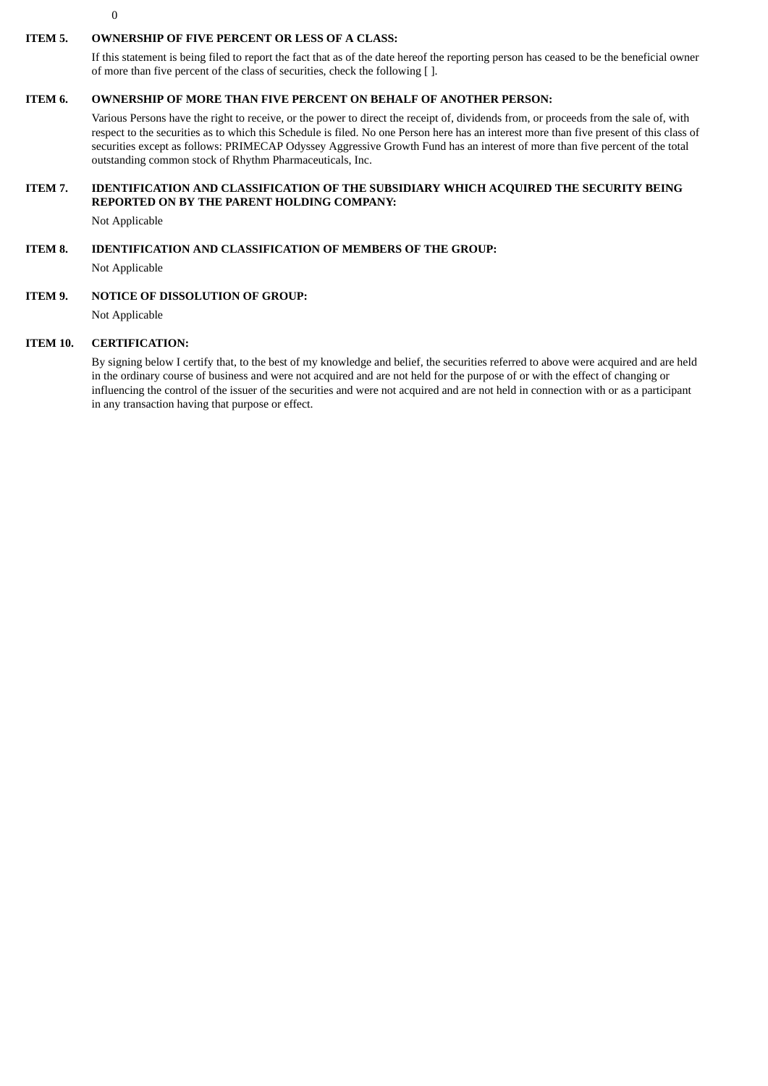$\theta$ 

#### **ITEM 5. OWNERSHIP OF FIVE PERCENT OR LESS OF A CLASS:**

If this statement is being filed to report the fact that as of the date hereof the reporting person has ceased to be the beneficial owner of more than five percent of the class of securities, check the following [ ].

#### **ITEM 6. OWNERSHIP OF MORE THAN FIVE PERCENT ON BEHALF OF ANOTHER PERSON:**

Various Persons have the right to receive, or the power to direct the receipt of, dividends from, or proceeds from the sale of, with respect to the securities as to which this Schedule is filed. No one Person here has an interest more than five present of this class of securities except as follows: PRIMECAP Odyssey Aggressive Growth Fund has an interest of more than five percent of the total outstanding common stock of Rhythm Pharmaceuticals, Inc.

### **ITEM 7. IDENTIFICATION AND CLASSIFICATION OF THE SUBSIDIARY WHICH ACQUIRED THE SECURITY BEING REPORTED ON BY THE PARENT HOLDING COMPANY:**

Not Applicable

### **ITEM 8. IDENTIFICATION AND CLASSIFICATION OF MEMBERS OF THE GROUP:**

Not Applicable

#### **ITEM 9. NOTICE OF DISSOLUTION OF GROUP:**

Not Applicable

#### **ITEM 10. CERTIFICATION:**

By signing below I certify that, to the best of my knowledge and belief, the securities referred to above were acquired and are held in the ordinary course of business and were not acquired and are not held for the purpose of or with the effect of changing or influencing the control of the issuer of the securities and were not acquired and are not held in connection with or as a participant in any transaction having that purpose or effect.